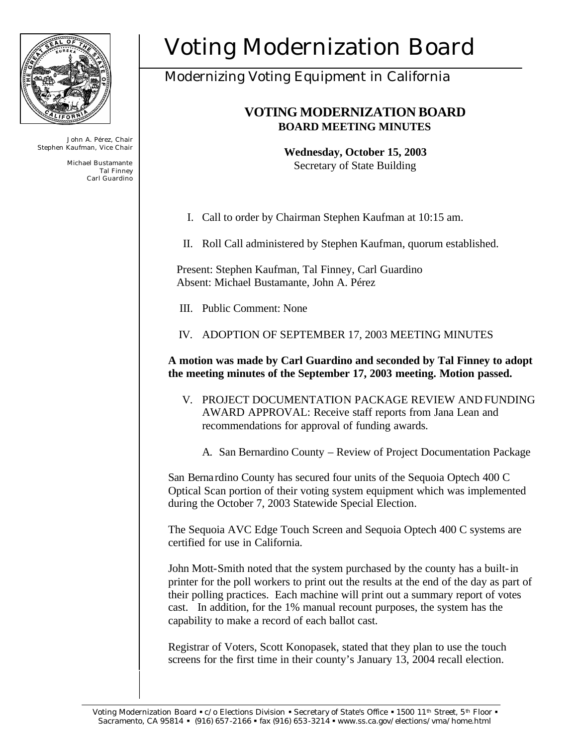

John A. Pérez, Chair Stephen Kaufman, Vice Chair

> Michael Bustamante Tal Finney Carl Guardino

# Voting Modernization Board

## Modernizing Voting Equipment in California

### **VOTING MODERNIZATION BOARD BOARD MEETING MINUTES**

**Wednesday, October 15, 2003** Secretary of State Building

I. Call to order by Chairman Stephen Kaufman at 10:15 am.

II. Roll Call administered by Stephen Kaufman, quorum established.

Present: Stephen Kaufman, Tal Finney, Carl Guardino Absent: Michael Bustamante, John A. Pérez

III. Public Comment: None

IV. ADOPTION OF SEPTEMBER 17, 2003 MEETING MINUTES

**A motion was made by Carl Guardino and seconded by Tal Finney to adopt the meeting minutes of the September 17, 2003 meeting. Motion passed.**

V. PROJECT DOCUMENTATION PACKAGE REVIEW AND FUNDING AWARD APPROVAL: Receive staff reports from Jana Lean and recommendations for approval of funding awards.

A. San Bernardino County – Review of Project Documentation Package

San Bernardino County has secured four units of the Sequoia Optech 400 C Optical Scan portion of their voting system equipment which was implemented during the October 7, 2003 Statewide Special Election.

The Sequoia AVC Edge Touch Screen and Sequoia Optech 400 C systems are certified for use in California.

John Mott-Smith noted that the system purchased by the county has a built-in printer for the poll workers to print out the results at the end of the day as part of their polling practices. Each machine will print out a summary report of votes cast. In addition, for the 1% manual recount purposes, the system has the capability to make a record of each ballot cast.

Registrar of Voters, Scott Konopasek, stated that they plan to use the touch screens for the first time in their county's January 13, 2004 recall election.